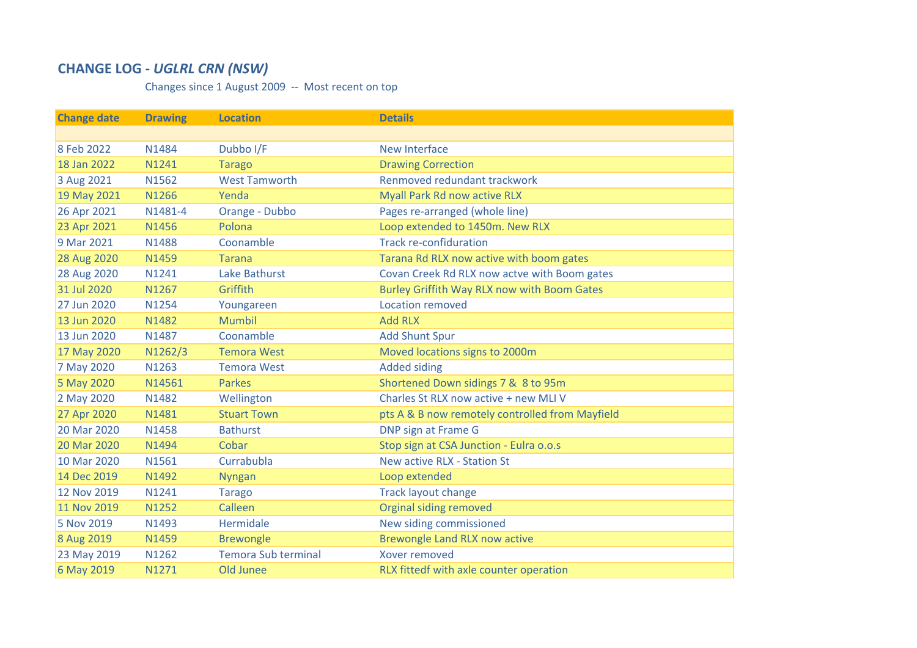## **CHANGE LOG ‐** *UGLRL CRN (NSW)*

Changes since 1 August 2009 ‐‐ Most recent on top

| <b>Change date</b> | <b>Drawing</b> | <b>Location</b>            | <b>Details</b>                                     |
|--------------------|----------------|----------------------------|----------------------------------------------------|
|                    |                |                            |                                                    |
| 8 Feb 2022         | N1484          | Dubbo I/F                  | <b>New Interface</b>                               |
| 18 Jan 2022        | N1241          | <b>Tarago</b>              | <b>Drawing Correction</b>                          |
| 3 Aug 2021         | N1562          | <b>West Tamworth</b>       | Renmoved redundant trackwork                       |
| 19 May 2021        | N1266          | Yenda                      | Myall Park Rd now active RLX                       |
| 26 Apr 2021        | N1481-4        | Orange - Dubbo             | Pages re-arranged (whole line)                     |
| 23 Apr 2021        | N1456          | Polona                     | Loop extended to 1450m. New RLX                    |
| 9 Mar 2021         | N1488          | Coonamble                  | <b>Track re-confiduration</b>                      |
| 28 Aug 2020        | N1459          | <b>Tarana</b>              | Tarana Rd RLX now active with boom gates           |
| 28 Aug 2020        | N1241          | Lake Bathurst              | Covan Creek Rd RLX now actve with Boom gates       |
| 31 Jul 2020        | N1267          | Griffith                   | <b>Burley Griffith Way RLX now with Boom Gates</b> |
| 27 Jun 2020        | N1254          | Youngareen                 | Location removed                                   |
| 13 Jun 2020        | N1482          | <b>Mumbil</b>              | <b>Add RLX</b>                                     |
| 13 Jun 2020        | N1487          | Coonamble                  | <b>Add Shunt Spur</b>                              |
| 17 May 2020        | N1262/3        | <b>Temora West</b>         | Moved locations signs to 2000m                     |
| 7 May 2020         | N1263          | <b>Temora West</b>         | <b>Added siding</b>                                |
| 5 May 2020         | N14561         | <b>Parkes</b>              | Shortened Down sidings 7 & 8 to 95m                |
| 2 May 2020         | N1482          | Wellington                 | Charles St RLX now active + new MLI V              |
| 27 Apr 2020        | N1481          | <b>Stuart Town</b>         | pts A & B now remotely controlled from Mayfield    |
| 20 Mar 2020        | N1458          | <b>Bathurst</b>            | <b>DNP sign at Frame G</b>                         |
| 20 Mar 2020        | N1494          | Cobar                      | Stop sign at CSA Junction - Eulra o.o.s            |
| 10 Mar 2020        | N1561          | Currabubla                 | New active RLX - Station St                        |
| 14 Dec 2019        | N1492          | <b>Nyngan</b>              | Loop extended                                      |
| 12 Nov 2019        | N1241          | <b>Tarago</b>              | <b>Track layout change</b>                         |
| 11 Nov 2019        | N1252          | Calleen                    | <b>Orginal siding removed</b>                      |
| 5 Nov 2019         | N1493          | Hermidale                  | New siding commissioned                            |
| 8 Aug 2019         | N1459          | <b>Brewongle</b>           | <b>Brewongle Land RLX now active</b>               |
| 23 May 2019        | N1262          | <b>Temora Sub terminal</b> | <b>Xover removed</b>                               |
| 6 May 2019         | N1271          | Old Junee                  | RLX fittedf with axle counter operation            |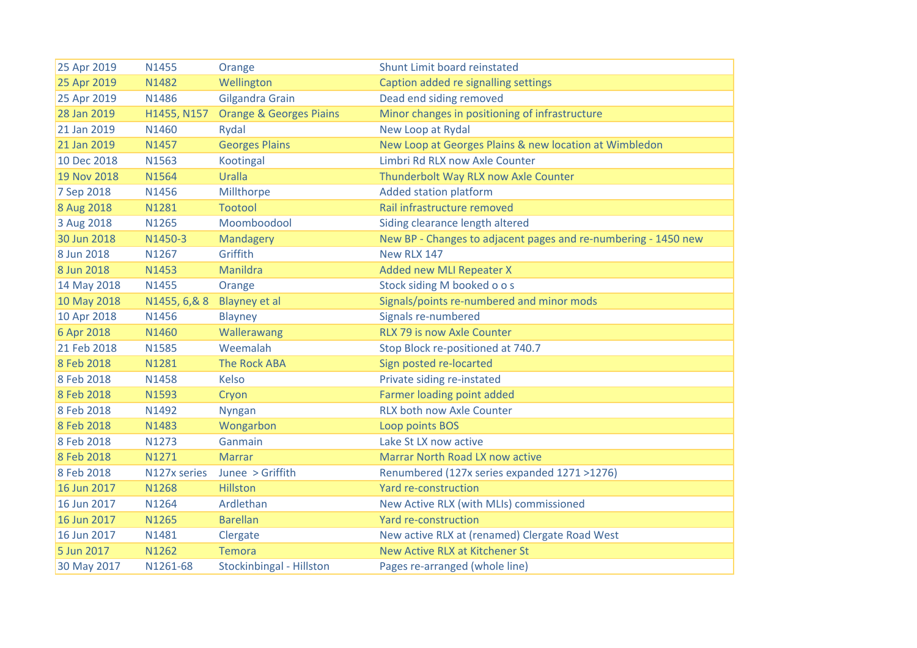| 25 Apr 2019 | N1455         | Orange                             | Shunt Limit board reinstated                                   |
|-------------|---------------|------------------------------------|----------------------------------------------------------------|
| 25 Apr 2019 | N1482         | Wellington                         | Caption added re signalling settings                           |
| 25 Apr 2019 | N1486         | Gilgandra Grain                    | Dead end siding removed                                        |
| 28 Jan 2019 | H1455, N157   | <b>Orange &amp; Georges Piains</b> | Minor changes in positioning of infrastructure                 |
| 21 Jan 2019 | N1460         | Rydal                              | New Loop at Rydal                                              |
| 21 Jan 2019 | N1457         | <b>Georges Plains</b>              | New Loop at Georges Plains & new location at Wimbledon         |
| 10 Dec 2018 | N1563         | Kootingal                          | Limbri Rd RLX now Axle Counter                                 |
| 19 Nov 2018 | N1564         | Uralla                             | Thunderbolt Way RLX now Axle Counter                           |
| 7 Sep 2018  | N1456         | Millthorpe                         | <b>Added station platform</b>                                  |
| 8 Aug 2018  | N1281         | <b>Tootool</b>                     | Rail infrastructure removed                                    |
| 3 Aug 2018  | N1265         | Moomboodool                        | Siding clearance length altered                                |
| 30 Jun 2018 | N1450-3       | Mandagery                          | New BP - Changes to adjacent pages and re-numbering - 1450 new |
| 8 Jun 2018  | N1267         | Griffith                           | New RLX 147                                                    |
| 8 Jun 2018  | N1453         | Manildra                           | Added new MLI Repeater X                                       |
| 14 May 2018 | N1455         | Orange                             | Stock siding M booked o o s                                    |
| 10 May 2018 | N1455, 6, & 8 | Blayney et al                      | Signals/points re-numbered and minor mods                      |
| 10 Apr 2018 | N1456         | Blayney                            | Signals re-numbered                                            |
| 6 Apr 2018  | N1460         | Wallerawang                        | RLX 79 is now Axle Counter                                     |
| 21 Feb 2018 | N1585         | Weemalah                           | Stop Block re-positioned at 740.7                              |
| 8 Feb 2018  | N1281         | <b>The Rock ABA</b>                | Sign posted re-locarted                                        |
| 8 Feb 2018  | N1458         | Kelso                              | Private siding re-instated                                     |
| 8 Feb 2018  | N1593         | Cryon                              | Farmer loading point added                                     |
| 8 Feb 2018  | N1492         | <b>Nyngan</b>                      | <b>RLX both now Axle Counter</b>                               |
| 8 Feb 2018  | N1483         | Wongarbon                          | Loop points BOS                                                |
| 8 Feb 2018  | N1273         | Ganmain                            | Lake St LX now active                                          |
| 8 Feb 2018  | N1271         | <b>Marrar</b>                      | <b>Marrar North Road LX now active</b>                         |
| 8 Feb 2018  | N127x series  | Junee > Griffith                   | Renumbered (127x series expanded 1271 >1276)                   |
| 16 Jun 2017 | N1268         | Hillston                           | Yard re-construction                                           |
| 16 Jun 2017 | N1264         | Ardlethan                          | New Active RLX (with MLIs) commissioned                        |
| 16 Jun 2017 | N1265         | <b>Barellan</b>                    | Yard re-construction                                           |
| 16 Jun 2017 | N1481         | Clergate                           | New active RLX at (renamed) Clergate Road West                 |
| 5 Jun 2017  | N1262         | <b>Temora</b>                      | New Active RLX at Kitchener St                                 |
| 30 May 2017 | N1261-68      | <b>Stockinbingal - Hillston</b>    | Pages re-arranged (whole line)                                 |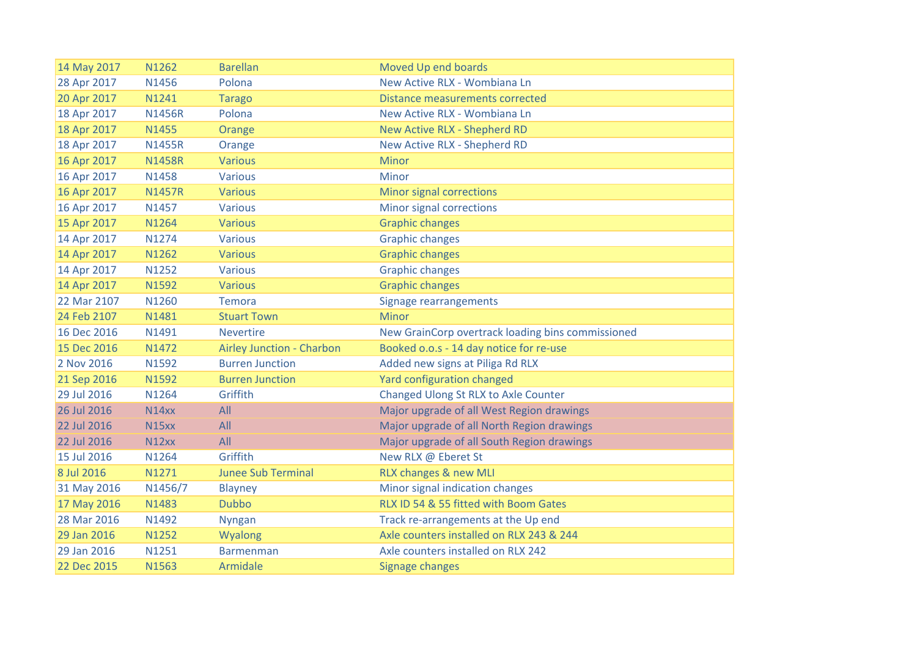| 14 May 2017 | N1262         | <b>Barellan</b>           | Moved Up end boards                               |
|-------------|---------------|---------------------------|---------------------------------------------------|
| 28 Apr 2017 | N1456         | Polona                    | New Active RLX - Wombiana Ln                      |
| 20 Apr 2017 | N1241         | <b>Tarago</b>             | <b>Distance measurements corrected</b>            |
| 18 Apr 2017 | <b>N1456R</b> | Polona                    | New Active RLX - Wombiana Ln                      |
| 18 Apr 2017 | N1455         | Orange                    | New Active RLX - Shepherd RD                      |
| 18 Apr 2017 | <b>N1455R</b> | Orange                    | New Active RLX - Shepherd RD                      |
| 16 Apr 2017 | <b>N1458R</b> | <b>Various</b>            | Minor                                             |
| 16 Apr 2017 | N1458         | <b>Various</b>            | Minor                                             |
| 16 Apr 2017 | <b>N1457R</b> | <b>Various</b>            | <b>Minor signal corrections</b>                   |
| 16 Apr 2017 | N1457         | <b>Various</b>            | Minor signal corrections                          |
| 15 Apr 2017 | N1264         | <b>Various</b>            | <b>Graphic changes</b>                            |
| 14 Apr 2017 | N1274         | <b>Various</b>            | <b>Graphic changes</b>                            |
| 14 Apr 2017 | N1262         | <b>Various</b>            | <b>Graphic changes</b>                            |
| 14 Apr 2017 | N1252         | <b>Various</b>            | <b>Graphic changes</b>                            |
| 14 Apr 2017 | N1592         | <b>Various</b>            | <b>Graphic changes</b>                            |
| 22 Mar 2107 | N1260         | <b>Temora</b>             | Signage rearrangements                            |
| 24 Feb 2107 | N1481         | <b>Stuart Town</b>        | <b>Minor</b>                                      |
| 16 Dec 2016 | N1491         | <b>Nevertire</b>          | New GrainCorp overtrack loading bins commissioned |
| 15 Dec 2016 | N1472         | Airley Junction - Charbon | Booked o.o.s - 14 day notice for re-use           |
| 2 Nov 2016  | N1592         | <b>Burren Junction</b>    | Added new signs at Piliga Rd RLX                  |
| 21 Sep 2016 | N1592         | <b>Burren Junction</b>    | Yard configuration changed                        |
| 29 Jul 2016 | N1264         | Griffith                  | Changed Ulong St RLX to Axle Counter              |
| 26 Jul 2016 | N14xx         | All                       | Major upgrade of all West Region drawings         |
| 22 Jul 2016 | <b>N15xx</b>  | All                       | Major upgrade of all North Region drawings        |
| 22 Jul 2016 | N12xx         | All                       | Major upgrade of all South Region drawings        |
| 15 Jul 2016 | N1264         | Griffith                  | New RLX @ Eberet St                               |
| 8 Jul 2016  | N1271         | <b>Junee Sub Terminal</b> | RLX changes & new MLI                             |
| 31 May 2016 | N1456/7       | <b>Blayney</b>            | Minor signal indication changes                   |
| 17 May 2016 | N1483         | <b>Dubbo</b>              | RLX ID 54 & 55 fitted with Boom Gates             |
| 28 Mar 2016 | N1492         | <b>Nyngan</b>             | Track re-arrangements at the Up end               |
| 29 Jan 2016 | N1252         | Wyalong                   | Axle counters installed on RLX 243 & 244          |
| 29 Jan 2016 | N1251         | <b>Barmenman</b>          | Axle counters installed on RLX 242                |
| 22 Dec 2015 | N1563         | Armidale                  | <b>Signage changes</b>                            |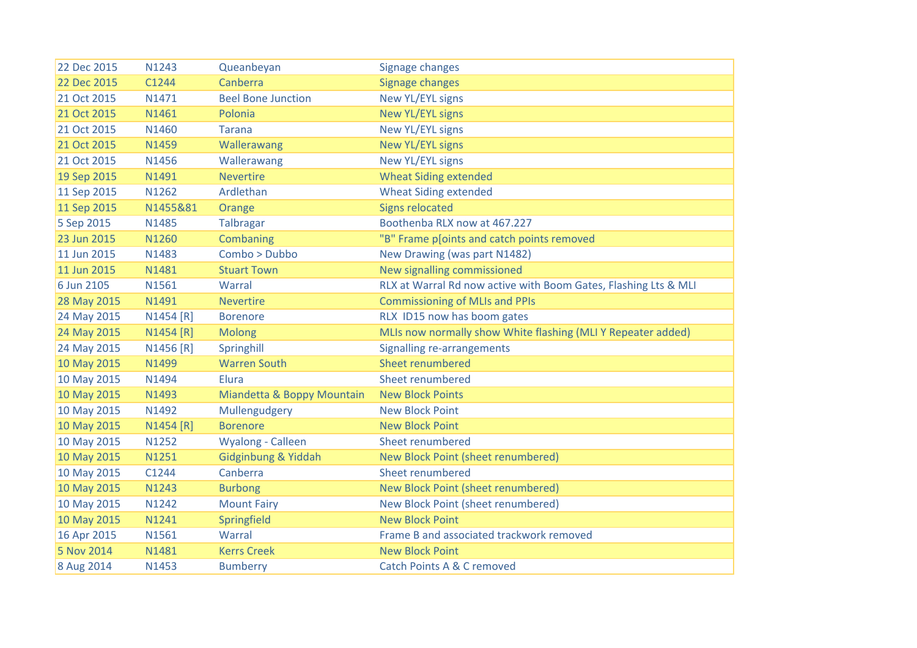| 22 Dec 2015 | N1243     | Queanbeyan                 | <b>Signage changes</b>                                          |
|-------------|-----------|----------------------------|-----------------------------------------------------------------|
| 22 Dec 2015 | C1244     | Canberra                   | Signage changes                                                 |
| 21 Oct 2015 | N1471     | <b>Beel Bone Junction</b>  | New YL/EYL signs                                                |
| 21 Oct 2015 | N1461     | Polonia                    | <b>New YL/EYL signs</b>                                         |
| 21 Oct 2015 | N1460     | <b>Tarana</b>              | New YL/EYL signs                                                |
| 21 Oct 2015 | N1459     | Wallerawang                | <b>New YL/EYL signs</b>                                         |
| 21 Oct 2015 | N1456     | Wallerawang                | <b>New YL/EYL signs</b>                                         |
| 19 Sep 2015 | N1491     | <b>Nevertire</b>           | <b>Wheat Siding extended</b>                                    |
| 11 Sep 2015 | N1262     | Ardlethan                  | <b>Wheat Siding extended</b>                                    |
| 11 Sep 2015 | N1455&81  | Orange                     | <b>Signs relocated</b>                                          |
| 5 Sep 2015  | N1485     | Talbragar                  | Boothenba RLX now at 467.227                                    |
| 23 Jun 2015 | N1260     | Combaning                  | "B" Frame p[oints and catch points removed                      |
| 11 Jun 2015 | N1483     | Combo > Dubbo              | New Drawing (was part N1482)                                    |
| 11 Jun 2015 | N1481     | <b>Stuart Town</b>         | New signalling commissioned                                     |
| 6 Jun 2105  | N1561     | Warral                     | RLX at Warral Rd now active with Boom Gates, Flashing Lts & MLI |
| 28 May 2015 | N1491     | <b>Nevertire</b>           | <b>Commissioning of MLIs and PPIs</b>                           |
| 24 May 2015 | N1454 [R] | <b>Borenore</b>            | RLX ID15 now has boom gates                                     |
| 24 May 2015 | N1454 [R] | <b>Molong</b>              | MLIs now normally show White flashing (MLI Y Repeater added)    |
| 24 May 2015 | N1456 [R] | Springhill                 | Signalling re-arrangements                                      |
| 10 May 2015 | N1499     | <b>Warren South</b>        | Sheet renumbered                                                |
| 10 May 2015 | N1494     | Elura                      | Sheet renumbered                                                |
| 10 May 2015 | N1493     | Miandetta & Boppy Mountain | <b>New Block Points</b>                                         |
| 10 May 2015 | N1492     | Mullengudgery              | <b>New Block Point</b>                                          |
| 10 May 2015 | N1454 [R] | <b>Borenore</b>            | <b>New Block Point</b>                                          |
| 10 May 2015 | N1252     | Wyalong - Calleen          | Sheet renumbered                                                |
| 10 May 2015 | N1251     | Gidginbung & Yiddah        | New Block Point (sheet renumbered)                              |
| 10 May 2015 | C1244     | Canberra                   | Sheet renumbered                                                |
| 10 May 2015 | N1243     | <b>Burbong</b>             | New Block Point (sheet renumbered)                              |
| 10 May 2015 | N1242     | <b>Mount Fairy</b>         | New Block Point (sheet renumbered)                              |
| 10 May 2015 | N1241     | Springfield                | <b>New Block Point</b>                                          |
| 16 Apr 2015 | N1561     | Warral                     | Frame B and associated trackwork removed                        |
| 5 Nov 2014  | N1481     | <b>Kerrs Creek</b>         | <b>New Block Point</b>                                          |
| 8 Aug 2014  | N1453     | <b>Bumberry</b>            | <b>Catch Points A &amp; C removed</b>                           |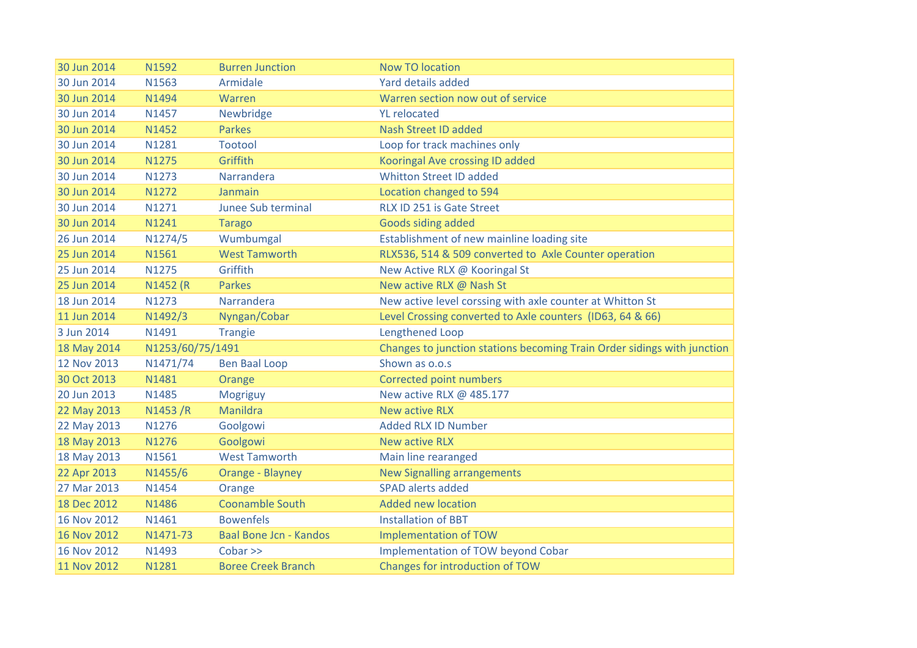| 30 Jun 2014 | N1592            | <b>Burren Junction</b>    | <b>Now TO location</b>                                                  |
|-------------|------------------|---------------------------|-------------------------------------------------------------------------|
| 30 Jun 2014 | N1563            | Armidale                  | Yard details added                                                      |
| 30 Jun 2014 | N1494            | Warren                    | Warren section now out of service                                       |
| 30 Jun 2014 | N1457            | Newbridge                 | <b>YL</b> relocated                                                     |
| 30 Jun 2014 | N1452            | <b>Parkes</b>             | <b>Nash Street ID added</b>                                             |
| 30 Jun 2014 | N1281            | <b>Tootool</b>            | Loop for track machines only                                            |
| 30 Jun 2014 | N1275            | Griffith                  | Kooringal Ave crossing ID added                                         |
| 30 Jun 2014 | N1273            | Narrandera                | <b>Whitton Street ID added</b>                                          |
| 30 Jun 2014 | N1272            | Janmain                   | Location changed to 594                                                 |
| 30 Jun 2014 | N1271            | Junee Sub terminal        | RLX ID 251 is Gate Street                                               |
| 30 Jun 2014 | N1241            | <b>Tarago</b>             | Goods siding added                                                      |
| 26 Jun 2014 | N1274/5          | Wumbumgal                 | Establishment of new mainline loading site                              |
| 25 Jun 2014 | N1561            | <b>West Tamworth</b>      | RLX536, 514 & 509 converted to Axle Counter operation                   |
| 25 Jun 2014 | N1275            | Griffith                  | New Active RLX @ Kooringal St                                           |
| 25 Jun 2014 | N1452 (R         | <b>Parkes</b>             | New active RLX @ Nash St                                                |
| 18 Jun 2014 | N1273            | Narrandera                | New active level corssing with axle counter at Whitton St               |
| 11 Jun 2014 | N1492/3          | Nyngan/Cobar              | Level Crossing converted to Axle counters (ID63, 64 & 66)               |
| 3 Jun 2014  | N1491            | <b>Trangie</b>            | <b>Lengthened Loop</b>                                                  |
| 18 May 2014 | N1253/60/75/1491 |                           | Changes to junction stations becoming Train Order sidings with junction |
| 12 Nov 2013 | N1471/74         | <b>Ben Baal Loop</b>      | Shown as o.o.s                                                          |
| 30 Oct 2013 | N1481            | Orange                    | Corrected point numbers                                                 |
| 20 Jun 2013 | N1485            | Mogriguy                  | New active RLX @ 485.177                                                |
| 22 May 2013 | N1453/R          | Manildra                  | <b>New active RLX</b>                                                   |
| 22 May 2013 | N1276            | Goolgowi                  | <b>Added RLX ID Number</b>                                              |
| 18 May 2013 | N1276            | Goolgowi                  | <b>New active RLX</b>                                                   |
| 18 May 2013 | N1561            | <b>West Tamworth</b>      | Main line rearanged                                                     |
| 22 Apr 2013 | N1455/6          | Orange - Blayney          | <b>New Signalling arrangements</b>                                      |
| 27 Mar 2013 | N1454            | Orange                    | <b>SPAD alerts added</b>                                                |
| 18 Dec 2012 | N1486            | <b>Coonamble South</b>    | <b>Added new location</b>                                               |
| 16 Nov 2012 | N1461            | <b>Bowenfels</b>          | <b>Installation of BBT</b>                                              |
| 16 Nov 2012 | N1471-73         | Baal Bone Jcn - Kandos    | <b>Implementation of TOW</b>                                            |
| 16 Nov 2012 | N1493            | Cobar                     | Implementation of TOW beyond Cobar                                      |
| 11 Nov 2012 | N1281            | <b>Boree Creek Branch</b> | Changes for introduction of TOW                                         |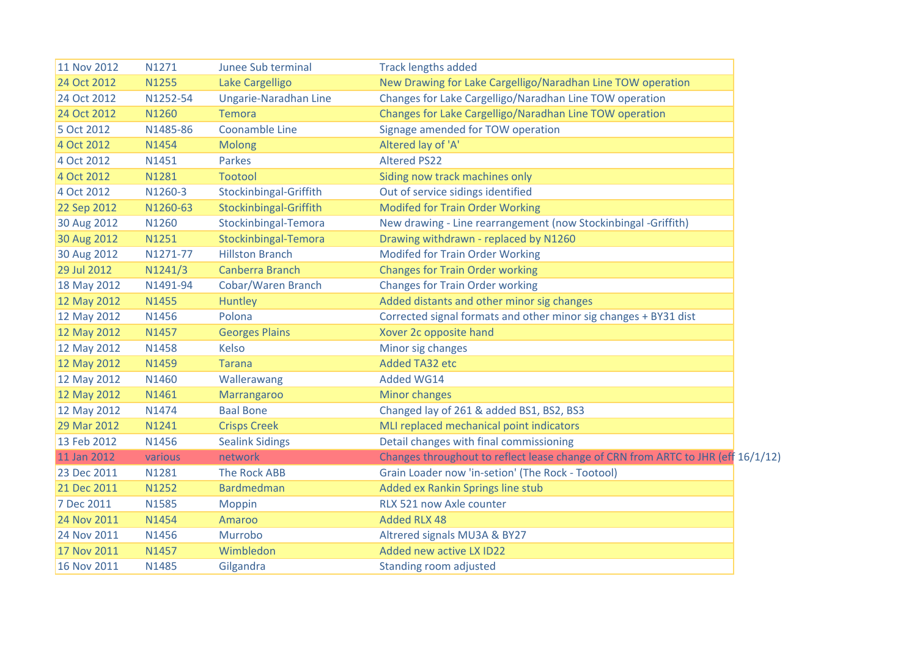| 11 Nov 2012 | N1271        | Junee Sub terminal     | <b>Track lengths added</b>                                                       |  |
|-------------|--------------|------------------------|----------------------------------------------------------------------------------|--|
| 24 Oct 2012 | <b>N1255</b> | Lake Cargelligo        | New Drawing for Lake Cargelligo/Naradhan Line TOW operation                      |  |
| 24 Oct 2012 | N1252-54     | Ungarie-Naradhan Line  | Changes for Lake Cargelligo/Naradhan Line TOW operation                          |  |
| 24 Oct 2012 | N1260        | <b>Temora</b>          | Changes for Lake Cargelligo/Naradhan Line TOW operation                          |  |
| 5 Oct 2012  | N1485-86     | Coonamble Line         | Signage amended for TOW operation                                                |  |
| 4 Oct 2012  | N1454        | Molong                 | Altered lay of 'A'                                                               |  |
| 4 Oct 2012  | N1451        | Parkes                 | <b>Altered PS22</b>                                                              |  |
| 4 Oct 2012  | N1281        | <b>Tootool</b>         | Siding now track machines only                                                   |  |
| 4 Oct 2012  | N1260-3      | Stockinbingal-Griffith | Out of service sidings identified                                                |  |
| 22 Sep 2012 | N1260-63     | Stockinbingal-Griffith | <b>Modifed for Train Order Working</b>                                           |  |
| 30 Aug 2012 | N1260        | Stockinbingal-Temora   | New drawing - Line rearrangement (now Stockinbingal -Griffith)                   |  |
| 30 Aug 2012 | N1251        | Stockinbingal-Temora   | Drawing withdrawn - replaced by N1260                                            |  |
| 30 Aug 2012 | N1271-77     | <b>Hillston Branch</b> | <b>Modifed for Train Order Working</b>                                           |  |
| 29 Jul 2012 | N1241/3      | Canberra Branch        | <b>Changes for Train Order working</b>                                           |  |
| 18 May 2012 | N1491-94     | Cobar/Waren Branch     | <b>Changes for Train Order working</b>                                           |  |
| 12 May 2012 | N1455        | Huntley                | Added distants and other minor sig changes                                       |  |
| 12 May 2012 | N1456        | Polona                 | Corrected signal formats and other minor sig changes + BY31 dist                 |  |
| 12 May 2012 | N1457        | <b>Georges Plains</b>  | Xover 2c opposite hand                                                           |  |
| 12 May 2012 | N1458        | Kelso                  | Minor sig changes                                                                |  |
| 12 May 2012 | <b>N1459</b> | <b>Tarana</b>          | Added TA32 etc                                                                   |  |
| 12 May 2012 | N1460        | Wallerawang            | Added WG14                                                                       |  |
| 12 May 2012 | N1461        | Marrangaroo            | <b>Minor changes</b>                                                             |  |
| 12 May 2012 | N1474        | <b>Baal Bone</b>       | Changed lay of 261 & added BS1, BS2, BS3                                         |  |
| 29 Mar 2012 | N1241        | <b>Crisps Creek</b>    | MLI replaced mechanical point indicators                                         |  |
| 13 Feb 2012 | N1456        | <b>Sealink Sidings</b> | Detail changes with final commissioning                                          |  |
| 11 Jan 2012 | various      | network                | Changes throughout to reflect lease change of CRN from ARTC to JHR (eff 16/1/12) |  |
| 23 Dec 2011 | N1281        | <b>The Rock ABB</b>    | Grain Loader now 'in-setion' (The Rock - Tootool)                                |  |
| 21 Dec 2011 | N1252        | <b>Bardmedman</b>      | Added ex Rankin Springs line stub                                                |  |
| 7 Dec 2011  | N1585        | Moppin                 | RLX 521 now Axle counter                                                         |  |
| 24 Nov 2011 | N1454        | Amaroo                 | <b>Added RLX 48</b>                                                              |  |
| 24 Nov 2011 | N1456        | Murrobo                | Altrered signals MU3A & BY27                                                     |  |
| 17 Nov 2011 | N1457        | Wimbledon              | Added new active LX ID22                                                         |  |
| 16 Nov 2011 | N1485        | Gilgandra              | Standing room adjusted                                                           |  |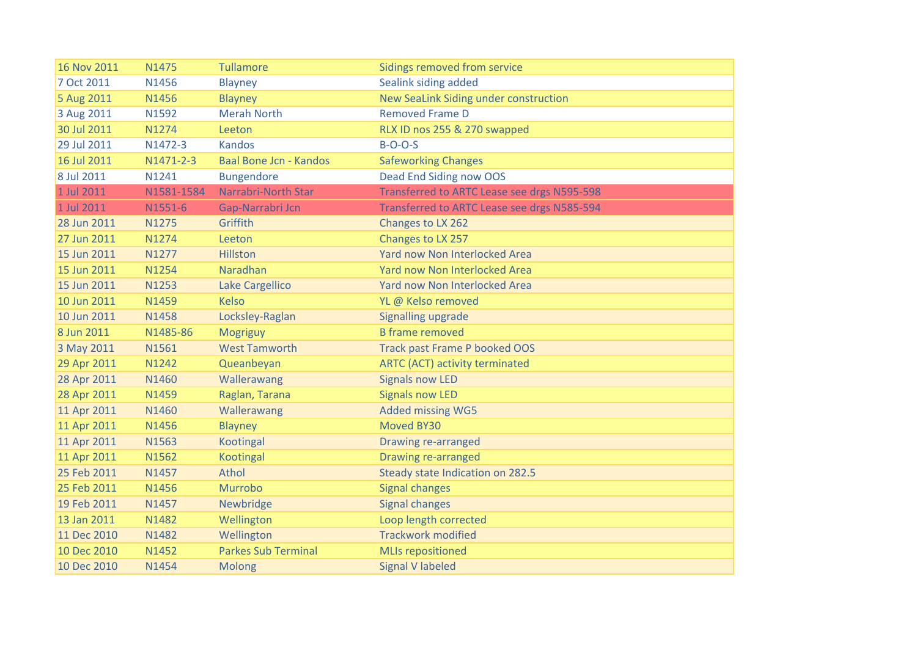| 16 Nov 2011 | N1475      | <b>Tullamore</b>              | Sidings removed from service                       |
|-------------|------------|-------------------------------|----------------------------------------------------|
| 7 Oct 2011  | N1456      | <b>Blayney</b>                | Sealink siding added                               |
| 5 Aug 2011  | N1456      | <b>Blayney</b>                | New SeaLink Siding under construction              |
| 3 Aug 2011  | N1592      | <b>Merah North</b>            | <b>Removed Frame D</b>                             |
| 30 Jul 2011 | N1274      | Leeton                        | RLX ID nos 255 & 270 swapped                       |
| 29 Jul 2011 | N1472-3    | <b>Kandos</b>                 | $B-O-O-S$                                          |
| 16 Jul 2011 | N1471-2-3  | <b>Baal Bone Jcn - Kandos</b> | <b>Safeworking Changes</b>                         |
| 8 Jul 2011  | N1241      | <b>Bungendore</b>             | Dead End Siding now OOS                            |
| 1 Jul 2011  | N1581-1584 | <b>Narrabri-North Star</b>    | Transferred to ARTC Lease see drgs N595-598        |
| 1 Jul 2011  | N1551-6    | Gap-Narrabri Jcn              | <b>Transferred to ARTC Lease see drgs N585-594</b> |
| 28 Jun 2011 | N1275      | Griffith                      | Changes to LX 262                                  |
| 27 Jun 2011 | N1274      | Leeton                        | Changes to LX 257                                  |
| 15 Jun 2011 | N1277      | Hillston                      | Yard now Non Interlocked Area                      |
| 15 Jun 2011 | N1254      | Naradhan                      | Yard now Non Interlocked Area                      |
| 15 Jun 2011 | N1253      | Lake Cargellico               | Yard now Non Interlocked Area                      |
| 10 Jun 2011 | N1459      | <b>Kelso</b>                  | YL @ Kelso removed                                 |
| 10 Jun 2011 | N1458      | Locksley-Raglan               | Signalling upgrade                                 |
| 8 Jun 2011  | N1485-86   | Mogriguy                      | <b>B</b> frame removed                             |
| 3 May 2011  | N1561      | <b>West Tamworth</b>          | <b>Track past Frame P booked OOS</b>               |
| 29 Apr 2011 | N1242      | Queanbeyan                    | <b>ARTC (ACT) activity terminated</b>              |
| 28 Apr 2011 | N1460      | Wallerawang                   | <b>Signals now LED</b>                             |
| 28 Apr 2011 | N1459      | Raglan, Tarana                | <b>Signals now LED</b>                             |
| 11 Apr 2011 | N1460      | Wallerawang                   | <b>Added missing WG5</b>                           |
| 11 Apr 2011 | N1456      | <b>Blayney</b>                | <b>Moved BY30</b>                                  |
| 11 Apr 2011 | N1563      | Kootingal                     | Drawing re-arranged                                |
| 11 Apr 2011 | N1562      | Kootingal                     | Drawing re-arranged                                |
| 25 Feb 2011 | N1457      | Athol                         | Steady state Indication on 282.5                   |
| 25 Feb 2011 | N1456      | Murrobo                       | <b>Signal changes</b>                              |
| 19 Feb 2011 | N1457      | Newbridge                     | <b>Signal changes</b>                              |
| 13 Jan 2011 | N1482      | Wellington                    | Loop length corrected                              |
| 11 Dec 2010 | N1482      | Wellington                    | <b>Trackwork modified</b>                          |
| 10 Dec 2010 | N1452      | <b>Parkes Sub Terminal</b>    | <b>MLIs repositioned</b>                           |
| 10 Dec 2010 | N1454      | <b>Molong</b>                 | <b>Signal V labeled</b>                            |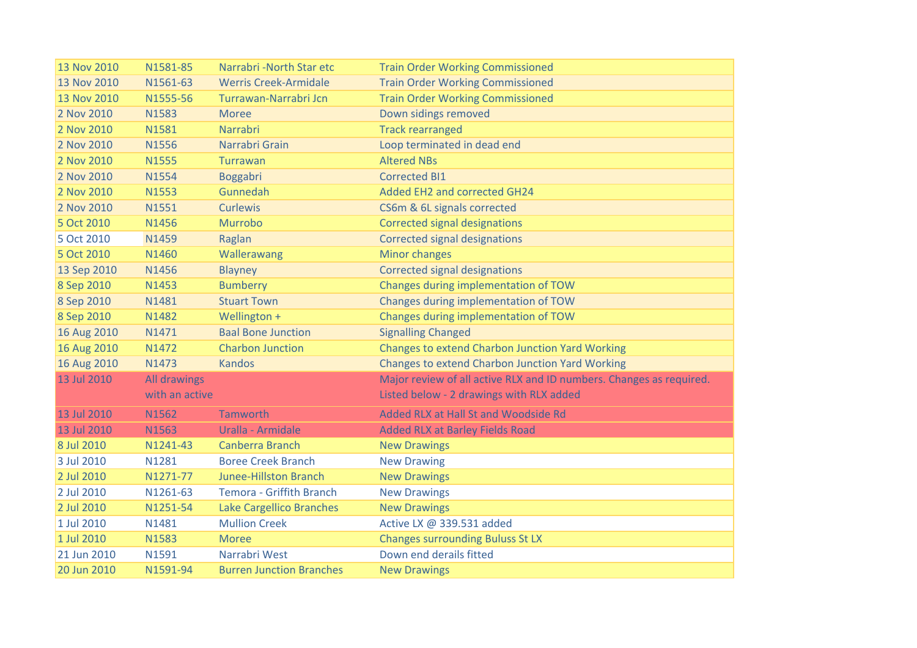| 13 Nov 2010 | N1581-85       | Narrabri - North Star etc       | <b>Train Order Working Commissioned</b>                             |
|-------------|----------------|---------------------------------|---------------------------------------------------------------------|
| 13 Nov 2010 | N1561-63       | <b>Werris Creek-Armidale</b>    | <b>Train Order Working Commissioned</b>                             |
| 13 Nov 2010 | N1555-56       | Turrawan-Narrabri Jcn           | <b>Train Order Working Commissioned</b>                             |
| 2 Nov 2010  | N1583          | <b>Moree</b>                    | Down sidings removed                                                |
| 2 Nov 2010  | N1581          | Narrabri                        | <b>Track rearranged</b>                                             |
| 2 Nov 2010  | N1556          | Narrabri Grain                  | Loop terminated in dead end                                         |
| 2 Nov 2010  | N1555          | Turrawan                        | <b>Altered NBs</b>                                                  |
| 2 Nov 2010  | N1554          | Boggabri                        | <b>Corrected BI1</b>                                                |
| 2 Nov 2010  | N1553          | Gunnedah                        | Added EH2 and corrected GH24                                        |
| 2 Nov 2010  | N1551          | <b>Curlewis</b>                 | CS6m & 6L signals corrected                                         |
| 5 Oct 2010  | N1456          | Murrobo                         | <b>Corrected signal designations</b>                                |
| 5 Oct 2010  | N1459          | Raglan                          | <b>Corrected signal designations</b>                                |
| 5 Oct 2010  | N1460          | Wallerawang                     | <b>Minor changes</b>                                                |
| 13 Sep 2010 | N1456          | Blayney                         | <b>Corrected signal designations</b>                                |
| 8 Sep 2010  | N1453          | <b>Bumberry</b>                 | Changes during implementation of TOW                                |
| 8 Sep 2010  | N1481          | <b>Stuart Town</b>              | Changes during implementation of TOW                                |
| 8 Sep 2010  | N1482          | Wellington +                    | Changes during implementation of TOW                                |
| 16 Aug 2010 | N1471          | <b>Baal Bone Junction</b>       | <b>Signalling Changed</b>                                           |
| 16 Aug 2010 | N1472          | <b>Charbon Junction</b>         | <b>Changes to extend Charbon Junction Yard Working</b>              |
| 16 Aug 2010 | N1473          | <b>Kandos</b>                   | <b>Changes to extend Charbon Junction Yard Working</b>              |
| 13 Jul 2010 | All drawings   |                                 | Major review of all active RLX and ID numbers. Changes as required. |
|             | with an active |                                 | Listed below - 2 drawings with RLX added                            |
| 13 Jul 2010 | N1562          | <b>Tamworth</b>                 | Added RLX at Hall St and Woodside Rd                                |
| 13 Jul 2010 | N1563          | Uralla - Armidale               | <b>Added RLX at Barley Fields Road</b>                              |
| 8 Jul 2010  | N1241-43       | Canberra Branch                 | <b>New Drawings</b>                                                 |
| 3 Jul 2010  | N1281          | <b>Boree Creek Branch</b>       | <b>New Drawing</b>                                                  |
| 2 Jul 2010  | N1271-77       | <b>Junee-Hillston Branch</b>    | <b>New Drawings</b>                                                 |
| 2 Jul 2010  | N1261-63       | Temora - Griffith Branch        | <b>New Drawings</b>                                                 |
| 2 Jul 2010  | N1251-54       | <b>Lake Cargellico Branches</b> | <b>New Drawings</b>                                                 |
| 1 Jul 2010  | N1481          | <b>Mullion Creek</b>            | Active LX @ 339.531 added                                           |
| 1 Jul 2010  | N1583          | <b>Moree</b>                    | <b>Changes surrounding Buluss St LX</b>                             |
| 21 Jun 2010 | N1591          | Narrabri West                   | Down end derails fitted                                             |
| 20 Jun 2010 | N1591-94       | <b>Burren Junction Branches</b> | <b>New Drawings</b>                                                 |